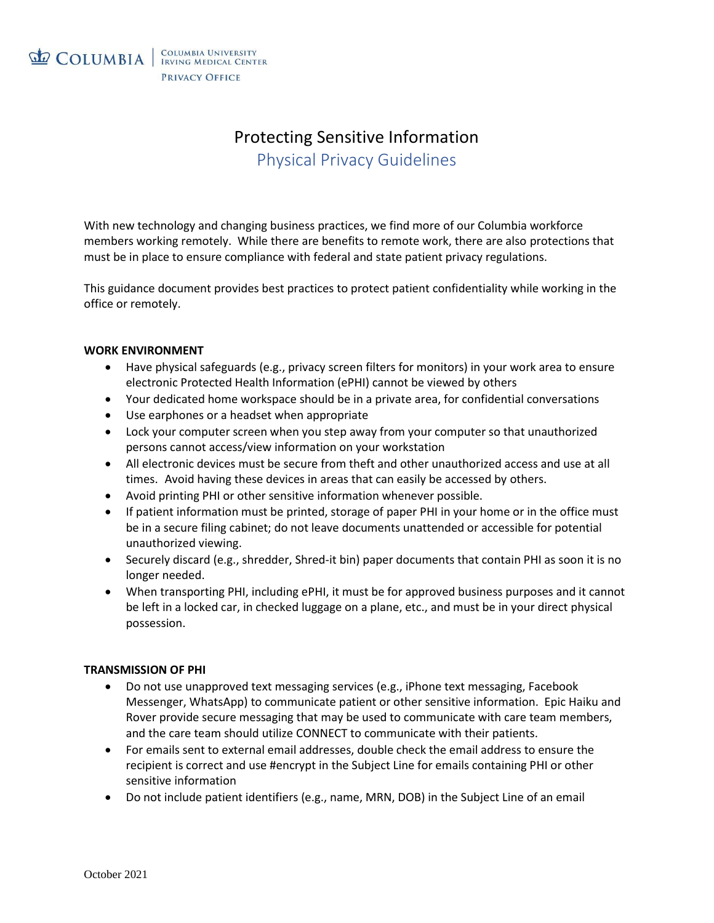

# Protecting Sensitive Information Physical Privacy Guidelines

With new technology and changing business practices, we find more of our Columbia workforce members working remotely. While there are benefits to remote work, there are also protections that must be in place to ensure compliance with federal and state patient privacy regulations.

This guidance document provides best practices to protect patient confidentiality while working in the office or remotely.

## **WORK ENVIRONMENT**

- Have physical safeguards (e.g., privacy screen filters for monitors) in your work area to ensure electronic Protected Health Information (ePHI) cannot be viewed by others
- Your dedicated home workspace should be in a private area, for confidential conversations
- Use earphones or a headset when appropriate
- Lock your computer screen when you step away from your computer so that unauthorized persons cannot access/view information on your workstation
- All electronic devices must be secure from theft and other unauthorized access and use at all times. Avoid having these devices in areas that can easily be accessed by others.
- Avoid printing PHI or other sensitive information whenever possible.
- If patient information must be printed, storage of paper PHI in your home or in the office must be in a secure filing cabinet; do not leave documents unattended or accessible for potential unauthorized viewing.
- Securely discard (e.g., shredder, Shred-it bin) paper documents that contain PHI as soon it is no longer needed.
- When transporting PHI, including ePHI, it must be for approved business purposes and it cannot be left in a locked car, in checked luggage on a plane, etc., and must be in your direct physical possession.

## **TRANSMISSION OF PHI**

- Do not use unapproved text messaging services (e.g., iPhone text messaging, Facebook Messenger, WhatsApp) to communicate patient or other sensitive information. Epic Haiku and Rover provide secure messaging that may be used to communicate with care team members, and the care team should utilize CONNECT to communicate with their patients.
- For emails sent to external email addresses, double check the email address to ensure the recipient is correct and use #encrypt in the Subject Line for emails containing PHI or other sensitive information
- Do not include patient identifiers (e.g., name, MRN, DOB) in the Subject Line of an email